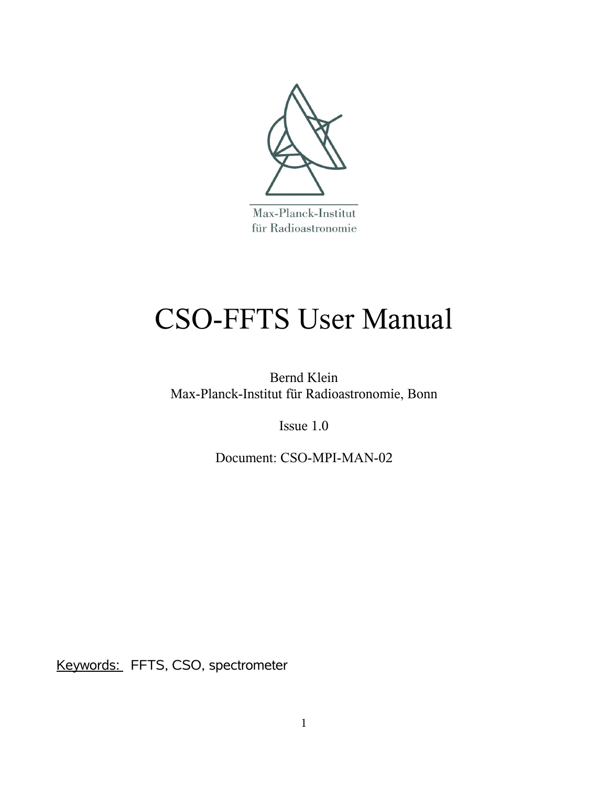

Max-Planck-Institut für Radioastronomie

# CSO-FFTS User Manual

Bernd Klein Max-Planck-Institut für Radioastronomie, Bonn

Issue 1.0

Document: CSO-MPI-MAN-02

Keywords: FFTS, CSO, spectrometer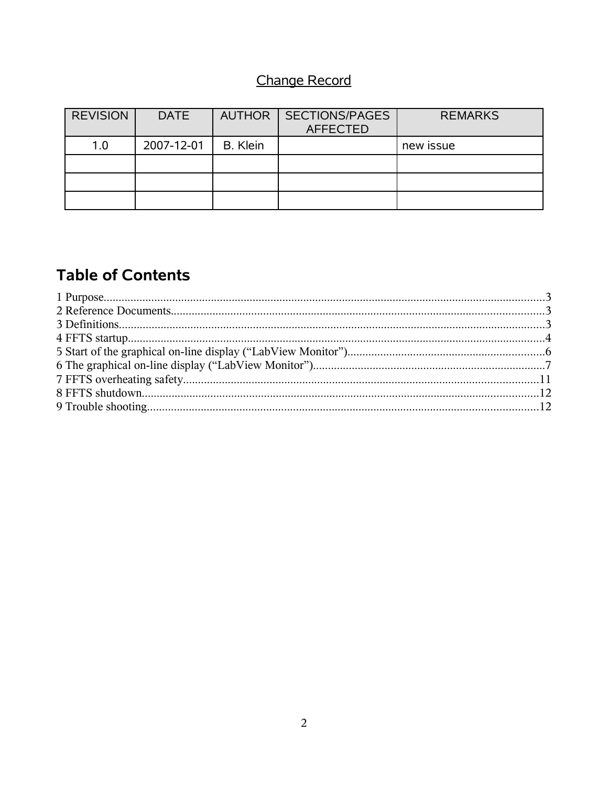# Change Record

| <b>REVISION</b> | <b>DATE</b> |          | AUTHOR   SECTIONS/PAGES<br><b>AFFECTED</b> | <b>REMARKS</b> |
|-----------------|-------------|----------|--------------------------------------------|----------------|
| 1.0             | 2007-12-01  | B. Klein |                                            | new issue      |
|                 |             |          |                                            |                |
|                 |             |          |                                            |                |
|                 |             |          |                                            |                |

# **Table of Contents**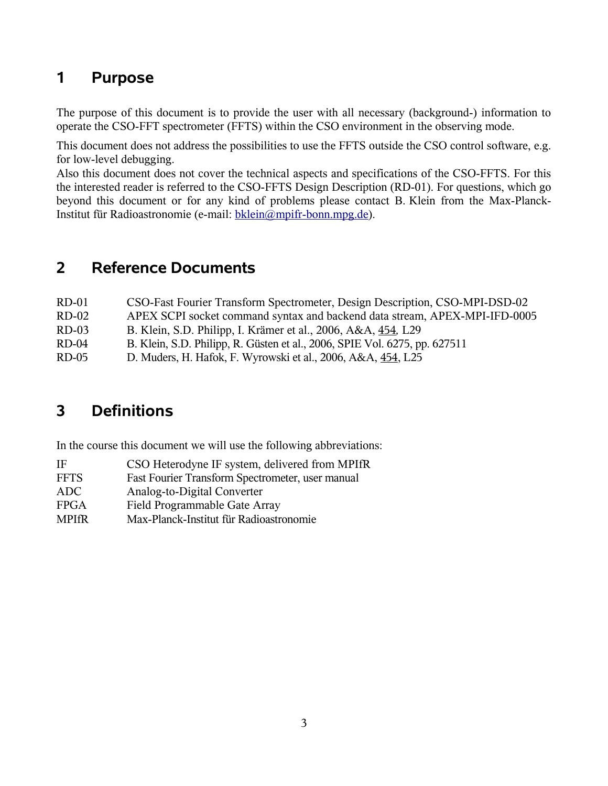## **1 Purpose**

The purpose of this document is to provide the user with all necessary (background-) information to operate the CSO-FFT spectrometer (FFTS) within the CSO environment in the observing mode.

This document does not address the possibilities to use the FFTS outside the CSO control software, e.g. for low-level debugging.

Also this document does not cover the technical aspects and specifications of the CSO-FFTS. For this the interested reader is referred to the CSO-FFTS Design Description (RD-01). For questions, which go beyond this document or for any kind of problems please contact B. Klein from the Max-Planck-Institut für Radioastronomie (e-mail: [bklein@mpifr-bonn.mpg.de\)](mailto:bklein@mpifr-bonn.mpg.de).

#### **2 Reference Documents**

| CSO-Fast Fourier Transform Spectrometer, Design Description, CSO-MPI-DSD-02 |
|-----------------------------------------------------------------------------|
| APEX SCPI socket command syntax and backend data stream, APEX-MPI-IFD-0005  |
| B. Klein, S.D. Philipp, I. Krämer et al., 2006, A&A, 454, L29               |
| B. Klein, S.D. Philipp, R. Güsten et al., 2006, SPIE Vol. 6275, pp. 627511  |
| D. Muders, H. Hafok, F. Wyrowski et al., 2006, A&A, 454, L25                |
|                                                                             |

# **3 Definitions**

In the course this document we will use the following abbreviations:

| ΙF           | CSO Heterodyne IF system, delivered from MPIfR   |
|--------------|--------------------------------------------------|
| <b>FFTS</b>  | Fast Fourier Transform Spectrometer, user manual |
| ADC.         | Analog-to-Digital Converter                      |
| <b>FPGA</b>  | Field Programmable Gate Array                    |
| <b>MPIfR</b> | Max-Planck-Institut für Radioastronomie          |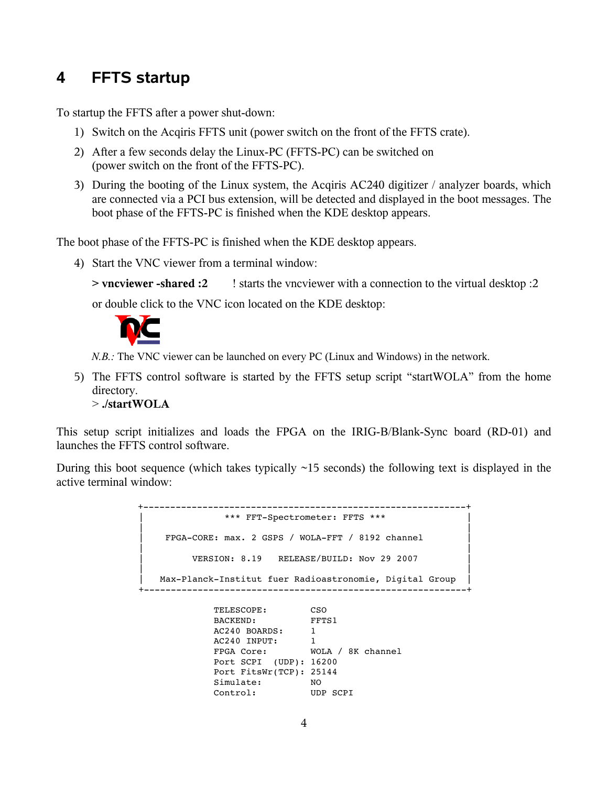## **4 FFTS startup**

To startup the FFTS after a power shut-down:

- 1) Switch on the Acqiris FFTS unit (power switch on the front of the FFTS crate).
- 2) After a few seconds delay the Linux-PC (FFTS-PC) can be switched on (power switch on the front of the FFTS-PC).
- 3) During the booting of the Linux system, the Acqiris AC240 digitizer / analyzer boards, which are connected via a PCI bus extension, will be detected and displayed in the boot messages. The boot phase of the FFTS-PC is finished when the KDE desktop appears.

The boot phase of the FFTS-PC is finished when the KDE desktop appears.

4) Start the VNC viewer from a terminal window:

**> vncviewer -shared :2** ! starts the vncviewer with a connection to the virtual desktop :2

or double click to the VNC icon located on the KDE desktop:



*N.B.:* The VNC viewer can be launched on every PC (Linux and Windows) in the network.

5) The FFTS control software is started by the FFTS setup script "startWOLA" from the home directory. > **./startWOLA**

This setup script initializes and loads the FPGA on the IRIG-B/Blank-Sync board (RD-01) and launches the FFTS control software.

During this boot sequence (which takes typically  $\sim$ 15 seconds) the following text is displayed in the active terminal window:

> ++ \*\*\* FFT-Spectrometer: FFTS \*\*\*  $\blacksquare$  $FPGA-CORE: max. 2 GSPS / WOLA-FFT / 8192 channel$  $\blacksquare$ VERSION: 8.19 RELEASE/BUILD: Nov 29 2007  $\blacksquare$ Max-Planck-Institut fuer Radioastronomie, Digital Group ++ TELESCOPE: CSO BACKEND: FFTS1 AC240 BOARDS: 1 AC240 INPUT: 1 FPGA Core: WOLA / 8K channel Port SCPI (UDP): 16200

 Port FitsWr(TCP): 25144 Simulate: NO<br>Control: UDP SCPI

 $Control:$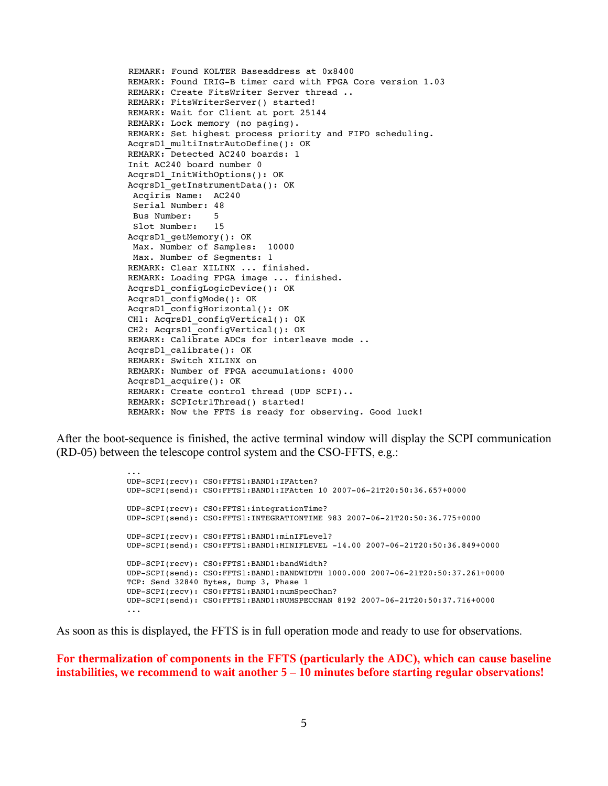```
REMARK: Found KOLTER Baseaddress at 0x8400
REMARK: Found IRIG-B timer card with FPGA Core version 1.03
REMARK: Create FitsWriter Server thread ..
REMARK: FitsWriterServer() started!
REMARK: Wait for Client at port 25144
REMARK: Lock memory (no paging).
REMARK: Set highest process priority and FIFO scheduling.
AcqrsD1_multiInstrAutoDefine(): OK
REMARK: Detected AC240 boards: 1
Init AC240 board number 0
AcqrsD1_InitWithOptions(): OK
AcqrsD1_getInstrumentData(): OK
  Acqiris Name:  AC240
  Serial Number: 48
 Bus Number: 5<br>Slot Number: 15
 Slot Number:
AcqrsD1_getMemory(): OK
  Max. Number of Samples:  10000
  Max. Number of Segments: 1
REMARK: Clear XILINX ... finished.
REMARK: Loading FPGA image ... finished.
AcqrsD1_configLogicDevice(): OK
AcqrsD1_configMode(): OK
AcqrsD1_configHorizontal(): OK
CH1: AcqrsD1_configVertical(): OK
CH2: AcqrsD1_configVertical(): OK
REMARK: Calibrate ADCs for interleave mode ..
AcqrsD1_calibrate(): OK
REMARK: Switch XILINX on
REMARK: Number of FPGA accumulations: 4000
AcqrsD1_acquire(): OK
REMARK: Create control thread (UDP SCPI)..
REMARK: SCPIctrlThread() started!
REMARK: Now the FFTS is ready for observing. Good luck!
```
After the boot-sequence is finished, the active terminal window will display the SCPI communication (RD-05) between the telescope control system and the CSO-FFTS, e.g.:

...

UDP-SCPI(recv): CSO:FFTS1:BAND1:IFAtten? UDP-SCPI(send): CSO:FFTS1:BAND1:IFAtten 10 2007-06-21T20:50:36.657+0000 UDPSCPI(recv): CSO:FFTS1:integrationTime? UDP-SCPI(send): CSO:FFTS1:INTEGRATIONTIME 983 2007-06-21T20:50:36.775+0000 UDPSCPI(recv): CSO:FFTS1:BAND1:minIFLevel? UDP-SCPI(send): CSO:FFTS1:BAND1:MINIFLEVEL -14.00 2007-06-21T20:50:36.849+0000 UDPSCPI(recv): CSO:FFTS1:BAND1:bandWidth? UDP-SCPI(send): CSO:FFTS1:BAND1:BANDWIDTH 1000.000 2007-06-21T20:50:37.261+0000 TCP: Send 32840 Bytes, Dump 3, Phase 1 UDPSCPI(recv): CSO:FFTS1:BAND1:numSpecChan? UDP-SCPI(send): CSO:FFTS1:BAND1:NUMSPECCHAN 8192 2007-06-21T20:50:37.716+0000 ...

As soon as this is displayed, the FFTS is in full operation mode and ready to use for observations.

**For thermalization of components in the FFTS (particularly the ADC), which can cause baseline instabilities, we recommend to wait another 5 – 10 minutes before starting regular observations!**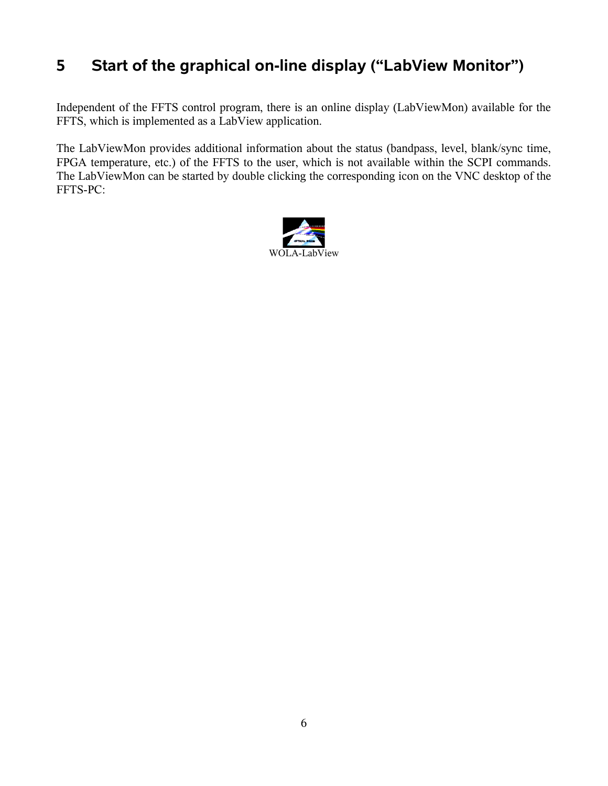# **5 Start of the graphical on-line display ("LabView Monitor")**

Independent of the FFTS control program, there is an online display (LabViewMon) available for the FFTS, which is implemented as a LabView application.

The LabViewMon provides additional information about the status (bandpass, level, blank/sync time, FPGA temperature, etc.) of the FFTS to the user, which is not available within the SCPI commands. The LabViewMon can be started by double clicking the corresponding icon on the VNC desktop of the FFTS-PC:

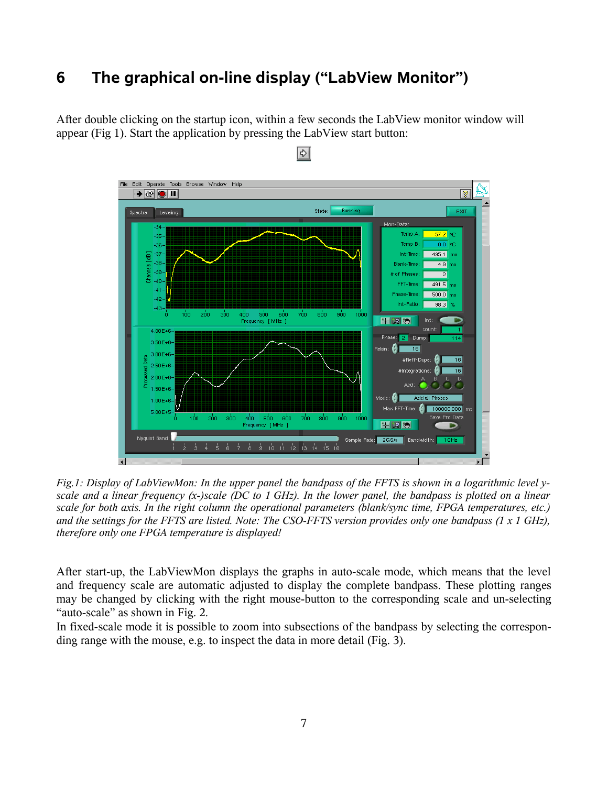# **6 The graphical on-line display ("LabView Monitor")**

After double clicking on the startup icon, within a few seconds the LabView monitor window will appear (Fig 1). Start the application by pressing the LabView start button:



#### $\Rightarrow$

*Fig.1: Display of LabViewMon: In the upper panel the bandpass of the FFTS is shown in a logarithmic level yscale and a linear frequency (x-)scale (DC to 1 GHz). In the lower panel, the bandpass is plotted on a linear scale for both axis. In the right column the operational parameters (blank/sync time, FPGA temperatures, etc.) and the settings for the FFTS are listed. Note: The CSO-FFTS version provides only one bandpass (1 x 1 GHz), therefore only one FPGA temperature is displayed!*

After start-up, the LabViewMon displays the graphs in auto-scale mode, which means that the level and frequency scale are automatic adjusted to display the complete bandpass. These plotting ranges may be changed by clicking with the right mouse-button to the corresponding scale and un-selecting "auto-scale" as shown in Fig. 2.

In fixed-scale mode it is possible to zoom into subsections of the bandpass by selecting the corresponding range with the mouse, e.g. to inspect the data in more detail (Fig. 3).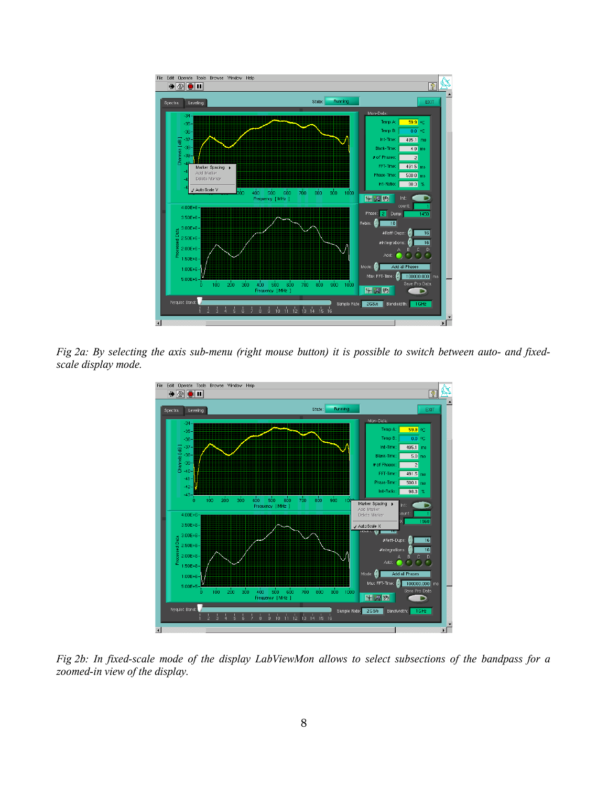

*Fig 2a: By selecting the axis sub-menu (right mouse button) it is possible to switch between auto- and fixedscale display mode.*



*Fig 2b: In fixed-scale mode of the display LabViewMon allows to select subsections of the bandpass for a zoomed-in view of the display.*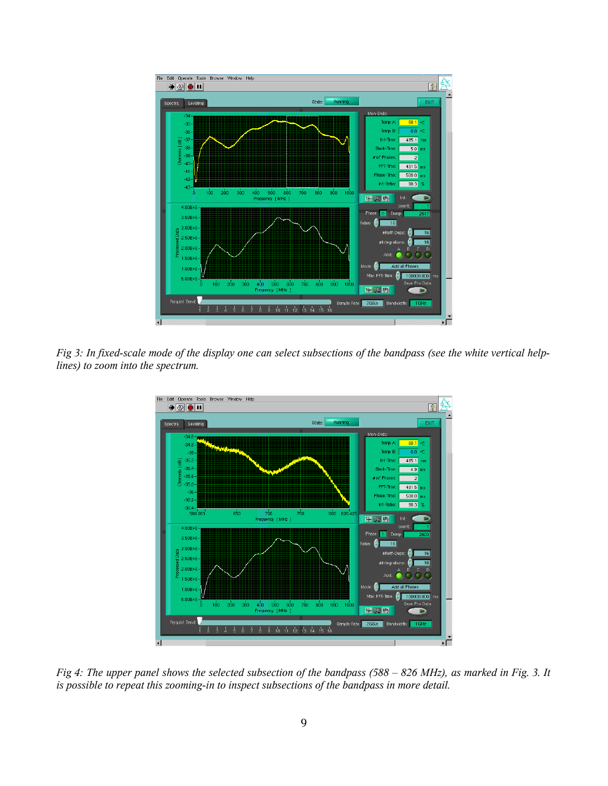

*Fig 3: In fixed-scale mode of the display one can select subsections of the bandpass (see the white vertical helplines) to zoom into the spectrum.*



*Fig 4: The upper panel shows the selected subsection of the bandpass (588 – 826 MHz), as marked in Fig. 3. It is possible to repeat this zooming-in to inspect subsections of the bandpass in more detail.*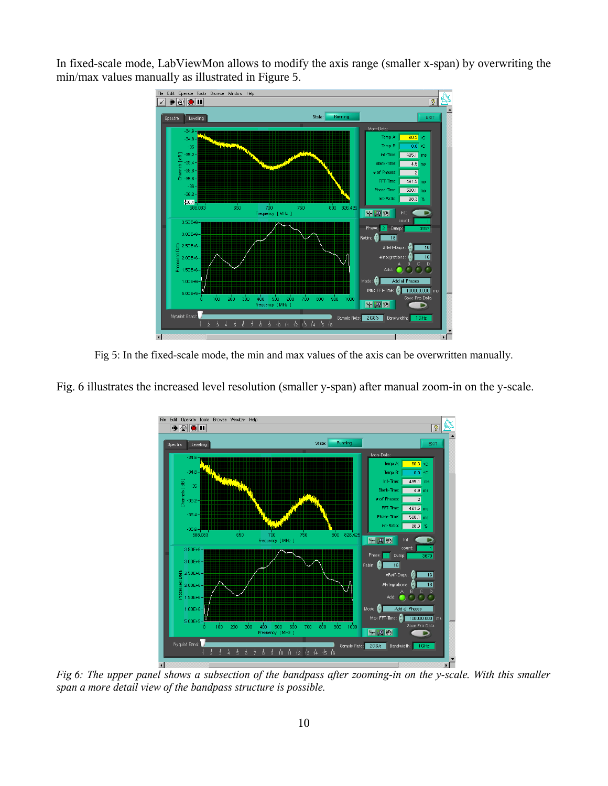In fixed-scale mode, LabViewMon allows to modify the axis range (smaller x-span) by overwriting the min/max values manually as illustrated in Figure 5.



Fig 5: In the fixed-scale mode, the min and max values of the axis can be overwritten manually.

Fig. 6 illustrates the increased level resolution (smaller y-span) after manual zoom-in on the y-scale.



*Fig 6: The upper panel shows a subsection of the bandpass after zooming-in on the y-scale. With this smaller span a more detail view of the bandpass structure is possible.*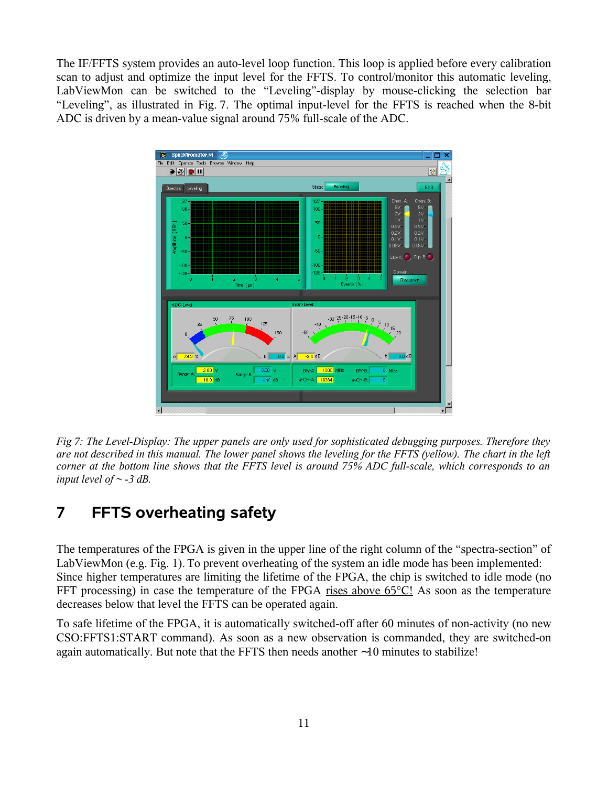The IF/FFTS system provides an auto-level loop function. This loop is applied before every calibration scan to adjust and optimize the input level for the FFTS. To control/monitor this automatic leveling, LabViewMon can be switched to the "Leveling"-display by mouse-clicking the selection bar "Leveling", as illustrated in Fig. 7. The optimal input-level for the FFTS is reached when the 8-bit ADC is driven by a mean-value signal around 75% full-scale of the ADC.



*Fig 7: The Level-Display: The upper panels are only used for sophisticated debugging purposes. Therefore they are not described in this manual. The lower panel shows the leveling for the FFTS (yellow). The chart in the left corner at the bottom line shows that the FFTS level is around 75% ADC full-scale, which corresponds to an input level of ~ -3 dB.*

#### **7 FFTS overheating safety**

The temperatures of the FPGA is given in the upper line of the right column of the "spectra-section" of LabViewMon (e.g. Fig. 1). To prevent overheating of the system an idle mode has been implemented: Since higher temperatures are limiting the lifetime of the FPGA, the chip is switched to idle mode (no FFT processing) in case the temperature of the FPGA rises above 65<sup>o</sup>C! As soon as the temperature decreases below that level the FFTS can be operated again.

To safe lifetime of the FPGA, it is automatically switched-off after 60 minutes of non-activity (no new CSO:FFTS1:START command). As soon as a new observation is commanded, they are switched-on again automatically. But note that the FFTS then needs another ∼10 minutes to stabilize!